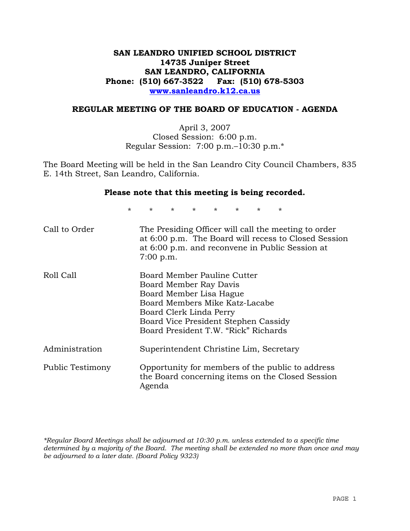# **SAN LEANDRO UNIFIED SCHOOL DISTRICT 14735 Juniper Street SAN LEANDRO, CALIFORNIA Phone: (510) 667-3522 Fax: (510) 678-5303 www.sanleandro.k12.ca.us**

### **REGULAR MEETING OF THE BOARD OF EDUCATION - AGENDA**

April 3, 2007 Closed Session: 6:00 p.m. Regular Session: 7:00 p.m.–10:30 p.m.\*

The Board Meeting will be held in the San Leandro City Council Chambers, 835 E. 14th Street, San Leandro, California.

### **Please note that this meeting is being recorded.**

\* \* \* \* \* \* \* \*

| Call to Order    | The Presiding Officer will call the meeting to order<br>at 6:00 p.m. The Board will recess to Closed Session<br>at 6:00 p.m. and reconvene in Public Session at<br>$7:00$ p.m.                                                |
|------------------|-------------------------------------------------------------------------------------------------------------------------------------------------------------------------------------------------------------------------------|
| Roll Call        | Board Member Pauline Cutter<br>Board Member Ray Davis<br>Board Member Lisa Hague<br>Board Members Mike Katz-Lacabe<br>Board Clerk Linda Perry<br>Board Vice President Stephen Cassidy<br>Board President T.W. "Rick" Richards |
| Administration   | Superintendent Christine Lim, Secretary                                                                                                                                                                                       |
| Public Testimony | Opportunity for members of the public to address<br>the Board concerning items on the Closed Session<br>Agenda                                                                                                                |

*\*Regular Board Meetings shall be adjourned at 10:30 p.m. unless extended to a specific time determined by a majority of the Board. The meeting shall be extended no more than once and may be adjourned to a later date. (Board Policy 9323)*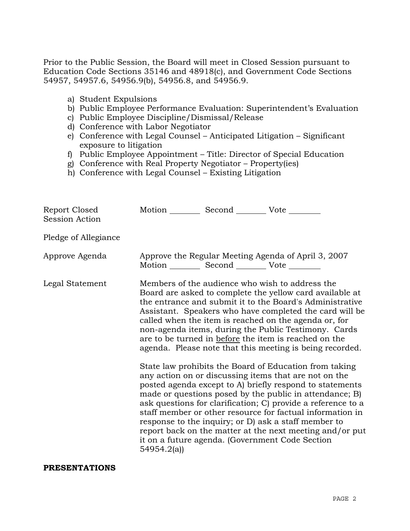Prior to the Public Session, the Board will meet in Closed Session pursuant to Education Code Sections 35146 and 48918(c), and Government Code Sections 54957, 54957.6, 54956.9(b), 54956.8, and 54956.9.

- a) Student Expulsions
- b) Public Employee Performance Evaluation: Superintendent's Evaluation
- c) Public Employee Discipline/Dismissal/Release
- d) Conference with Labor Negotiator
- e) Conference with Legal Counsel Anticipated Litigation Significant exposure to litigation
- f) Public Employee Appointment Title: Director of Special Education
- g) Conference with Real Property Negotiator Property(ies)
- h) Conference with Legal Counsel Existing Litigation

| 54954.2(a) |                                                                                                                                                                                                                                                                                                                                                                                                                                                                                                                                                                                                                                                                                                                                                                                                                                                                                                                                                                                                                                                                                                                                                                                         |
|------------|-----------------------------------------------------------------------------------------------------------------------------------------------------------------------------------------------------------------------------------------------------------------------------------------------------------------------------------------------------------------------------------------------------------------------------------------------------------------------------------------------------------------------------------------------------------------------------------------------------------------------------------------------------------------------------------------------------------------------------------------------------------------------------------------------------------------------------------------------------------------------------------------------------------------------------------------------------------------------------------------------------------------------------------------------------------------------------------------------------------------------------------------------------------------------------------------|
|            | Motion __________ Second __________ Vote ________<br>Approve the Regular Meeting Agenda of April 3, 2007<br>Motion __________ Second __________ Vote ________<br>Members of the audience who wish to address the<br>Board are asked to complete the yellow card available at<br>the entrance and submit it to the Board's Administrative<br>Assistant. Speakers who have completed the card will be<br>called when the item is reached on the agenda or, for<br>non-agenda items, during the Public Testimony. Cards<br>are to be turned in before the item is reached on the<br>agenda. Please note that this meeting is being recorded.<br>State law prohibits the Board of Education from taking<br>any action on or discussing items that are not on the<br>posted agenda except to A) briefly respond to statements<br>made or questions posed by the public in attendance; B)<br>ask questions for clarification; C) provide a reference to a<br>staff member or other resource for factual information in<br>response to the inquiry; or D) ask a staff member to<br>report back on the matter at the next meeting and/or put<br>it on a future agenda. (Government Code Section |

### **PRESENTATIONS**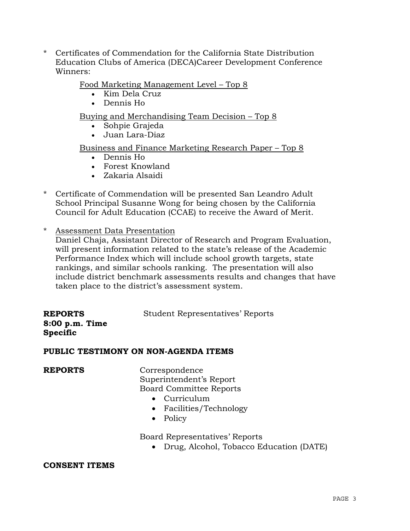\* Certificates of Commendation for the California State Distribution Education Clubs of America (DECA)Career Development Conference Winners:

## Food Marketing Management Level – Top 8

- Kim Dela Cruz
- Dennis Ho

## Buying and Merchandising Team Decision – Top 8

- Sohpie Grajeda
- Juan Lara-Diaz

## Business and Finance Marketing Research Paper – Top 8

- Dennis Ho
- Forest Knowland
- Zakaria Alsaidi
- \* Certificate of Commendation will be presented San Leandro Adult School Principal Susanne Wong for being chosen by the California Council for Adult Education (CCAE) to receive the Award of Merit.
- \* Assessment Data Presentation

 Daniel Chaja, Assistant Director of Research and Program Evaluation, will present information related to the state's release of the Academic Performance Index which will include school growth targets, state rankings, and similar schools ranking. The presentation will also include district benchmark assessments results and changes that have taken place to the district's assessment system.

| <b>REPORTS</b>                    | <b>Student Representatives' Reports</b> |
|-----------------------------------|-----------------------------------------|
| 8:00 p.m. Time<br><b>Specific</b> |                                         |

### **PUBLIC TESTIMONY ON NON-AGENDA ITEMS**

**REPORTS** Correspondence Superintendent's Report Board Committee Reports

- Curriculum
- Facilities/Technology
- Policy

Board Representatives' Reports

• Drug, Alcohol, Tobacco Education (DATE)

### **CONSENT ITEMS**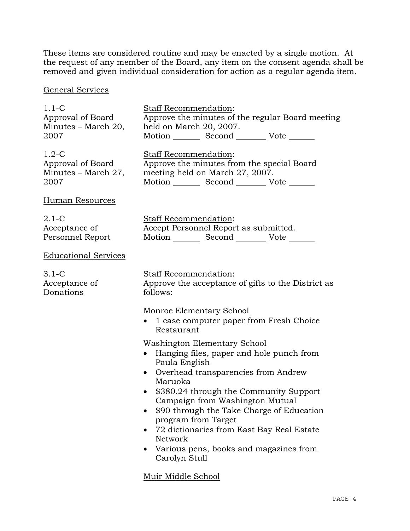These items are considered routine and may be enacted by a single motion. At the request of any member of the Board, any item on the consent agenda shall be removed and given individual consideration for action as a regular agenda item.

# General Services

| $1.1-C$                     | <b>Staff Recommendation:</b>                                                                                                                                                                                                                                                                                                                                                                                                                                |
|-----------------------------|-------------------------------------------------------------------------------------------------------------------------------------------------------------------------------------------------------------------------------------------------------------------------------------------------------------------------------------------------------------------------------------------------------------------------------------------------------------|
| Approval of Board           | Approve the minutes of the regular Board meeting                                                                                                                                                                                                                                                                                                                                                                                                            |
| Minutes – March 20,         | held on March 20, 2007.                                                                                                                                                                                                                                                                                                                                                                                                                                     |
| 2007                        | Motion _________ Second __________ Vote _______                                                                                                                                                                                                                                                                                                                                                                                                             |
| $1.2-C$                     | Staff Recommendation:                                                                                                                                                                                                                                                                                                                                                                                                                                       |
| Approval of Board           | Approve the minutes from the special Board                                                                                                                                                                                                                                                                                                                                                                                                                  |
| Minutes – March 27,         | meeting held on March 27, 2007.                                                                                                                                                                                                                                                                                                                                                                                                                             |
| 2007                        | Motion Second Vote ______                                                                                                                                                                                                                                                                                                                                                                                                                                   |
| <b>Human Resources</b>      |                                                                                                                                                                                                                                                                                                                                                                                                                                                             |
| $2.1-C$                     | Staff Recommendation:                                                                                                                                                                                                                                                                                                                                                                                                                                       |
| Acceptance of               | Accept Personnel Report as submitted.                                                                                                                                                                                                                                                                                                                                                                                                                       |
| Personnel Report            | Motion _________ Second __________ Vote _______                                                                                                                                                                                                                                                                                                                                                                                                             |
| <b>Educational Services</b> |                                                                                                                                                                                                                                                                                                                                                                                                                                                             |
| $3.1-C$                     | Staff Recommendation:                                                                                                                                                                                                                                                                                                                                                                                                                                       |
| Acceptance of               | Approve the acceptance of gifts to the District as                                                                                                                                                                                                                                                                                                                                                                                                          |
| Donations                   | follows:                                                                                                                                                                                                                                                                                                                                                                                                                                                    |
|                             | Monroe Elementary School<br>• 1 case computer paper from Fresh Choice<br>Restaurant                                                                                                                                                                                                                                                                                                                                                                         |
|                             | <b>Washington Elementary School</b><br>• Hanging files, paper and hole punch from<br>Paula English<br>Overhead transparencies from Andrew<br>$\bullet$<br>Maruoka<br>\$380.24 through the Community Support<br>Campaign from Washington Mutual<br>\$90 through the Take Charge of Education<br>program from Target<br>72 dictionaries from East Bay Real Estate<br>Network<br>Various pens, books and magazines from<br>Carolyn Stull<br>Muir Middle School |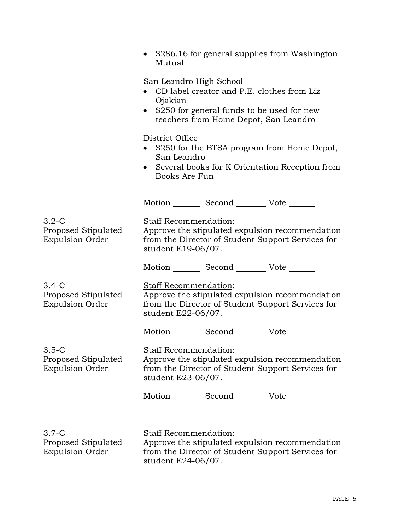|                                                          | \$286.16 for general supplies from Washington<br>Mutual                                                                                                                                     |
|----------------------------------------------------------|---------------------------------------------------------------------------------------------------------------------------------------------------------------------------------------------|
|                                                          | <u>San Leandro High School</u><br>CD label creator and P.E. clothes from Liz<br>Ojakian<br>\$250 for general funds to be used for new<br>$\bullet$<br>teachers from Home Depot, San Leandro |
|                                                          | District Office<br>\$250 for the BTSA program from Home Depot,<br>San Leandro<br>• Several books for K Orientation Reception from<br>Books Are Fun                                          |
|                                                          | Motion _________ Second __________ Vote _______                                                                                                                                             |
| $3.2-C$<br>Proposed Stipulated<br><b>Expulsion Order</b> | Staff Recommendation:<br>Approve the stipulated expulsion recommendation<br>from the Director of Student Support Services for<br>student E19-06/07.                                         |
|                                                          | Motion _________ Second __________ Vote _______                                                                                                                                             |
| $3.4-C$<br>Proposed Stipulated<br><b>Expulsion Order</b> | Staff Recommendation:<br>Approve the stipulated expulsion recommendation<br>from the Director of Student Support Services for<br>student E22-06/07.                                         |
|                                                          | Motion _________ Second __________ Vote _______                                                                                                                                             |
| $3.5-C$<br>Proposed Stipulated<br><b>Expulsion Order</b> | <b>Staff Recommendation:</b><br>Approve the stipulated expulsion recommendation<br>from the Director of Student Support Services for<br>student E23-06/07.                                  |
|                                                          | Motion _________ Second __________ Vote _______                                                                                                                                             |
| $3.7-C$<br>Proposed Stipulated<br><b>Expulsion Order</b> | Staff Recommendation:<br>Approve the stipulated expulsion recommendation<br>from the Director of Student Support Services for<br>student E24-06/07.                                         |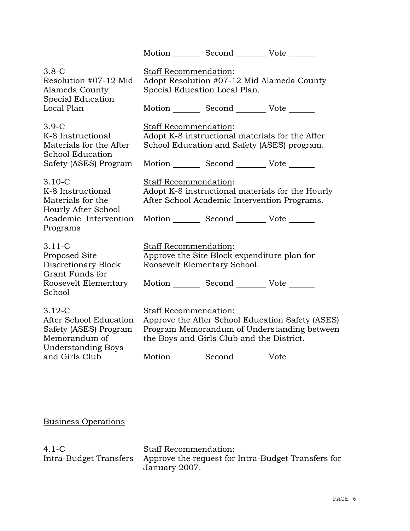|                                                                                                                               |                       | Motion Second Vote                                                                                                   |                                                                                                 |
|-------------------------------------------------------------------------------------------------------------------------------|-----------------------|----------------------------------------------------------------------------------------------------------------------|-------------------------------------------------------------------------------------------------|
| $3.8-C$<br>Resolution #07-12 Mid<br>Alameda County<br>Special Education<br>Local Plan                                         | Staff Recommendation: | Special Education Local Plan.<br>Motion _________ Second __________ Vote _______                                     | Adopt Resolution #07-12 Mid Alameda County                                                      |
| $3.9-C$<br>K-8 Instructional<br>Materials for the After<br>School Education<br>Safety (ASES) Program                          | Staff Recommendation: | Adopt K-8 instructional materials for the After<br>School Education and Safety (ASES) program.<br>Motion Second Vote |                                                                                                 |
| $3.10 - C$<br>K-8 Instructional<br>Materials for the<br>Hourly After School<br>Academic Intervention<br>Programs              | Staff Recommendation: | After School Academic Intervention Programs.<br>Motion _________ Second __________ Vote _______                      | Adopt K-8 instructional materials for the Hourly                                                |
| $3.11 - C$<br>Proposed Site<br>Discretionary Block<br>Grant Funds for<br>Roosevelt Elementary<br>School                       | Staff Recommendation: | Approve the Site Block expenditure plan for<br>Roosevelt Elementary School.<br>Motion Second Vote                    |                                                                                                 |
| $3.12 - C$<br>After School Education<br>Safety (ASES) Program<br>Memorandum of<br><b>Understanding Boys</b><br>and Girls Club | Staff Recommendation: | the Boys and Girls Club and the District.<br>Motion _________ Second __________ Vote _______                         | Approve the After School Education Safety (ASES)<br>Program Memorandum of Understanding between |

Business Operations

| 4.1-C                  |  |
|------------------------|--|
| Intra-Budget Transfers |  |

Staff Recommendation: Approve the request for Intra-Budget Transfers for January 2007.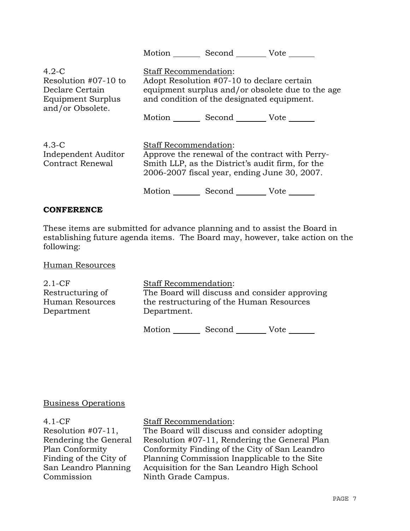|                                                                                             | Motion<br>Second Vote                                                                                                                                                                                           |
|---------------------------------------------------------------------------------------------|-----------------------------------------------------------------------------------------------------------------------------------------------------------------------------------------------------------------|
| $4.2-C$<br>Resolution #07-10 to<br>Declare Certain<br>Equipment Surplus<br>and/or Obsolete. | <b>Staff Recommendation:</b><br>Adopt Resolution #07-10 to declare certain<br>equipment surplus and/or obsolete due to the age<br>and condition of the designated equipment.                                    |
|                                                                                             | Motion Second Vote                                                                                                                                                                                              |
| $4.3-C$<br>Independent Auditor<br><b>Contract Renewal</b>                                   | <b>Staff Recommendation:</b><br>Approve the renewal of the contract with Perry-<br>Smith LLP, as the District's audit firm, for the<br>2006-2007 fiscal year, ending June 30, 2007.<br>Motion<br>Second<br>Vote |

### **CONFERENCE**

These items are submitted for advance planning and to assist the Board in establishing future agenda items. The Board may, however, take action on the following:

Human Resources

2.1-CF Restructuring of Human Resources Department Staff Recommendation: The Board will discuss and consider approving the restructuring of the Human Resources Department.

Motion Second Vote

### Business Operations

4.1-CF Resolution #07-11, Rendering the General Plan Conformity Finding of the City of San Leandro Planning Commission

Staff Recommendation:

The Board will discuss and consider adopting Resolution #07-11, Rendering the General Plan Conformity Finding of the City of San Leandro Planning Commission Inapplicable to the Site Acquisition for the San Leandro High School Ninth Grade Campus.